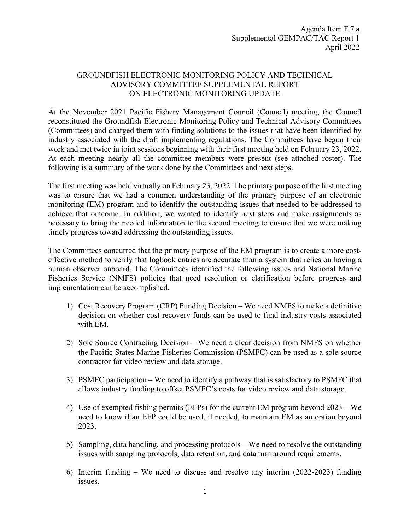## GROUNDFISH ELECTRONIC MONITORING POLICY AND TECHNICAL ADVISORY COMMITTEE SUPPLEMENTAL REPORT ON ELECTRONIC MONITORING UPDATE

At the November 2021 Pacific Fishery Management Council (Council) meeting, the Council reconstituted the Groundfish Electronic Monitoring Policy and Technical Advisory Committees (Committees) and charged them with finding solutions to the issues that have been identified by industry associated with the draft implementing regulations. The Committees have begun their work and met twice in joint sessions beginning with their first meeting held on February 23, 2022. At each meeting nearly all the committee members were present (see attached roster). The following is a summary of the work done by the Committees and next steps.

The first meeting was held virtually on February 23, 2022. The primary purpose of the first meeting was to ensure that we had a common understanding of the primary purpose of an electronic monitoring (EM) program and to identify the outstanding issues that needed to be addressed to achieve that outcome. In addition, we wanted to identify next steps and make assignments as necessary to bring the needed information to the second meeting to ensure that we were making timely progress toward addressing the outstanding issues.

The Committees concurred that the primary purpose of the EM program is to create a more costeffective method to verify that logbook entries are accurate than a system that relies on having a human observer onboard. The Committees identified the following issues and National Marine Fisheries Service (NMFS) policies that need resolution or clarification before progress and implementation can be accomplished.

- 1) Cost Recovery Program (CRP) Funding Decision We need NMFS to make a definitive decision on whether cost recovery funds can be used to fund industry costs associated with EM.
- 2) Sole Source Contracting Decision We need a clear decision from NMFS on whether the Pacific States Marine Fisheries Commission (PSMFC) can be used as a sole source contractor for video review and data storage.
- 3) PSMFC participation We need to identify a pathway that is satisfactory to PSMFC that allows industry funding to offset PSMFC's costs for video review and data storage.
- 4) Use of exempted fishing permits (EFPs) for the current EM program beyond 2023 We need to know if an EFP could be used, if needed, to maintain EM as an option beyond 2023.
- 5) Sampling, data handling, and processing protocols We need to resolve the outstanding issues with sampling protocols, data retention, and data turn around requirements.
- 6) Interim funding We need to discuss and resolve any interim (2022-2023) funding issues.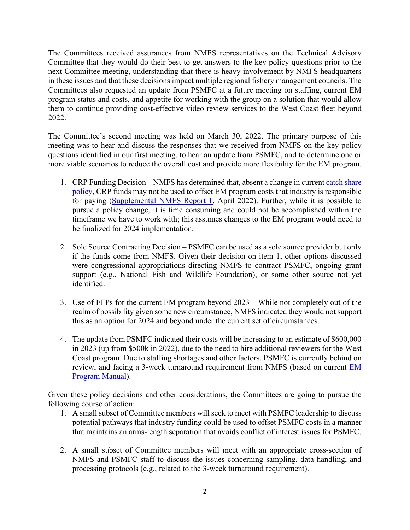The Committees received assurances from NMFS representatives on the Technical Advisory Committee that they would do their best to get answers to the key policy questions prior to the next Committee meeting, understanding that there is heavy involvement by NMFS headquarters in these issues and that these decisions impact multiple regional fishery management councils. The Committees also requested an update from PSMFC at a future meeting on staffing, current EM program status and costs, and appetite for working with the group on a solution that would allow them to continue providing cost-effective video review services to the West Coast fleet beyond 2022.

The Committee's second meeting was held on March 30, 2022. The primary purpose of this meeting was to hear and discuss the responses that we received from NMFS on the key policy questions identified in our first meeting, to hear an update from PSMFC, and to determine one or more viable scenarios to reduce the overall cost and provide more flexibility for the EM program.

- 1. CRP Funding Decision NMFS has determined that, absent a change in current [catch share](https://media.fisheries.noaa.gov/dam-migration/01-121.pdf)  [policy,](https://media.fisheries.noaa.gov/dam-migration/01-121.pdf) CRP funds may not be used to offset EM program costs that industry is responsible for paying [\(Supplemental NMFS Report 1,](https://www.pcouncil.org/documents/2022/03/f-7-a-supplemental-nmfs-report-1.pdf/) April 2022). Further, while it is possible to pursue a policy change, it is time consuming and could not be accomplished within the timeframe we have to work with; this assumes changes to the EM program would need to be finalized for 2024 implementation.
- 2. Sole Source Contracting Decision PSMFC can be used as a sole source provider but only if the funds come from NMFS. Given their decision on item 1, other options discussed were congressional appropriations directing NMFS to contract PSMFC, ongoing grant support (e.g., National Fish and Wildlife Foundation), or some other source not yet identified.
- 3. Use of EFPs for the current EM program beyond 2023 While not completely out of the realm of possibility given some new circumstance, NMFS indicated they would not support this as an option for 2024 and beyond under the current set of circumstances.
- 4. The update from PSMFC indicated their costs will be increasing to an estimate of \$600,000 in 2023 (up from \$500k in 2022), due to the need to hire additional reviewers for the West Coast program. Due to staffing shortages and other factors, PSMFC is currently behind on review, and facing a 3-week turnaround requirement from NMFS (based on current [EM](https://media.fisheries.noaa.gov/2021-05/2021_EM_ProgramManual_Final_1.0_0.pdf?null)  [Program Manual\)](https://media.fisheries.noaa.gov/2021-05/2021_EM_ProgramManual_Final_1.0_0.pdf?null).

Given these policy decisions and other considerations, the Committees are going to pursue the following course of action:

- 1. A small subset of Committee members will seek to meet with PSMFC leadership to discuss potential pathways that industry funding could be used to offset PSMFC costs in a manner that maintains an arms-length separation that avoids conflict of interest issues for PSMFC.
- 2. A small subset of Committee members will meet with an appropriate cross-section of NMFS and PSMFC staff to discuss the issues concerning sampling, data handling, and processing protocols (e.g., related to the 3-week turnaround requirement).